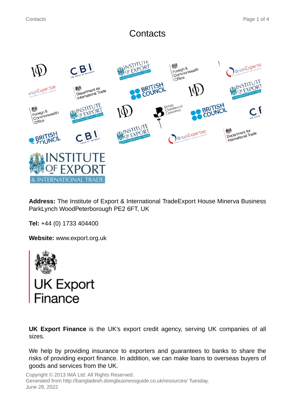# **Contacts**



**Address:** The Institute of Export & International TradeExport House Minerva Business ParkLynch WoodPeterborough PE2 6FT, UK

**Tel:** +44 (0) 1733 404400

**Website:** www.export.org.uk



**UK Export Finance** is the UK's export credit agency, serving UK companies of all sizes.

We help by providing insurance to exporters and guarantees to banks to share the risks of providing export finance. In addition, we can make loans to overseas buyers of goods and services from the UK.

Copyright © 2013 IMA Ltd. All Rights Reserved. Generated from http://bangladesh.doingbusinessguide.co.uk/resources/ Tuesday, June 28, 2022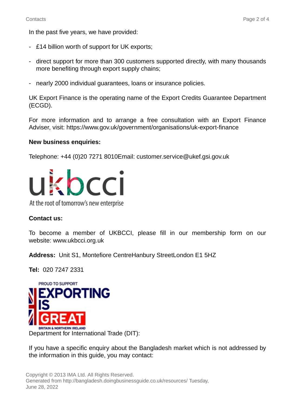In the past five years, we have provided:

- £14 billion worth of support for UK exports;
- direct support for more than 300 customers supported directly, with many thousands more benefiting through export supply chains;
- nearly 2000 individual guarantees, loans or insurance policies.

UK Export Finance is the operating name of the Export Credits Guarantee Department (ECGD).

For more information and to arrange a free consultation with an Export Finance Adviser, visit: https://www.gov.uk/government/organisations/uk-export-finance

#### **New business enquiries:**

Telephone: +44 (0)20 7271 8010Email: customer.service@ukef.gsi.gov.uk



At the root of tomorrow's new enterprise

## **Contact us:**

To become a member of UKBCCI, please fill in our membership form on our website: www.ukbcci.org.uk

**Address:** Unit S1, Montefiore CentreHanbury StreetLondon E1 5HZ

**Tel:** 020 7247 2331



If you have a specific enquiry about the Bangladesh market which is not addressed by the information in this guide, you may contact: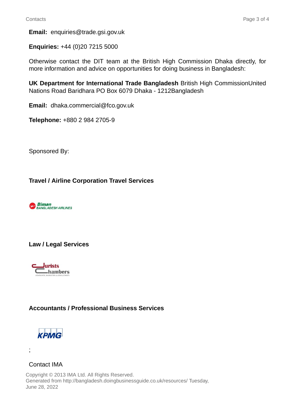**Email:** enquiries@trade.gsi.gov.uk

**Enquiries:** +44 (0)20 7215 5000

Otherwise contact the DIT team at the British High Commission Dhaka directly, for more information and advice on opportunities for doing business in Bangladesh:

**UK Department for International Trade Bangladesh** British High CommissionUnited Nations Road Baridhara PO Box 6079 Dhaka - 1212Bangladesh

**Email:** dhaka.commercial@fco.gov.uk

**Telephone:** +880 2 984 2705-9

Sponsored By:

# **Travel / Airline Corporation Travel Services**



## **Law / Legal Services**



# **Accountants / Professional Business Services**



;

## Contact IMA

Copyright © 2013 IMA Ltd. All Rights Reserved. Generated from http://bangladesh.doingbusinessguide.co.uk/resources/ Tuesday, June 28, 2022